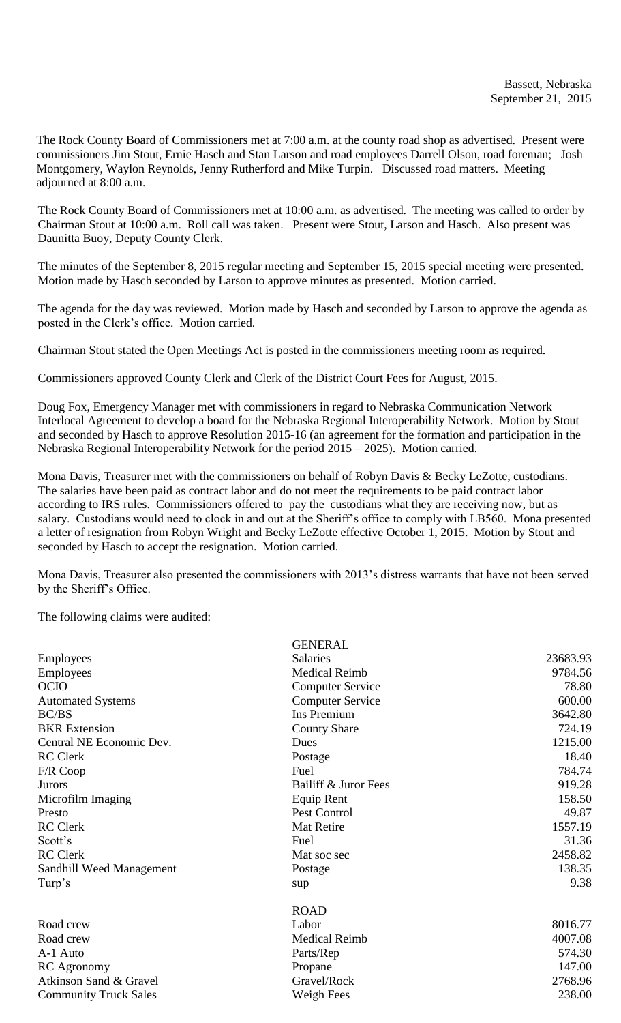The Rock County Board of Commissioners met at 7:00 a.m. at the county road shop as advertised. Present were commissioners Jim Stout, Ernie Hasch and Stan Larson and road employees Darrell Olson, road foreman; Josh Montgomery, Waylon Reynolds, Jenny Rutherford and Mike Turpin. Discussed road matters. Meeting adjourned at 8:00 a.m.

The Rock County Board of Commissioners met at 10:00 a.m. as advertised. The meeting was called to order by Chairman Stout at 10:00 a.m. Roll call was taken. Present were Stout, Larson and Hasch. Also present was Daunitta Buoy, Deputy County Clerk.

The minutes of the September 8, 2015 regular meeting and September 15, 2015 special meeting were presented. Motion made by Hasch seconded by Larson to approve minutes as presented. Motion carried.

The agenda for the day was reviewed. Motion made by Hasch and seconded by Larson to approve the agenda as posted in the Clerk's office. Motion carried.

Chairman Stout stated the Open Meetings Act is posted in the commissioners meeting room as required.

Commissioners approved County Clerk and Clerk of the District Court Fees for August, 2015.

Doug Fox, Emergency Manager met with commissioners in regard to Nebraska Communication Network Interlocal Agreement to develop a board for the Nebraska Regional Interoperability Network. Motion by Stout and seconded by Hasch to approve Resolution 2015-16 (an agreement for the formation and participation in the Nebraska Regional Interoperability Network for the period 2015 – 2025). Motion carried.

Mona Davis, Treasurer met with the commissioners on behalf of Robyn Davis & Becky LeZotte, custodians. The salaries have been paid as contract labor and do not meet the requirements to be paid contract labor according to IRS rules. Commissioners offered to pay the custodians what they are receiving now, but as salary. Custodians would need to clock in and out at the Sheriff's office to comply with LB560. Mona presented a letter of resignation from Robyn Wright and Becky LeZotte effective October 1, 2015. Motion by Stout and seconded by Hasch to accept the resignation. Motion carried.

Mona Davis, Treasurer also presented the commissioners with 2013's distress warrants that have not been served by the Sheriff's Office.

The following claims were audited:

|                              | <b>GENERAL</b>          |          |
|------------------------------|-------------------------|----------|
| Employees                    | <b>Salaries</b>         | 23683.93 |
| <b>Employees</b>             | <b>Medical Reimb</b>    | 9784.56  |
| <b>OCIO</b>                  | <b>Computer Service</b> | 78.80    |
| <b>Automated Systems</b>     | <b>Computer Service</b> | 600.00   |
| BC/BS                        | <b>Ins Premium</b>      | 3642.80  |
| <b>BKR</b> Extension         | <b>County Share</b>     | 724.19   |
| Central NE Economic Dev.     | Dues                    | 1215.00  |
| <b>RC</b> Clerk              | Postage                 | 18.40    |
| F/R Coop                     | Fuel                    | 784.74   |
| <b>Jurors</b>                | Bailiff & Juror Fees    | 919.28   |
| Microfilm Imaging            | Equip Rent              | 158.50   |
| Presto                       | Pest Control            | 49.87    |
| <b>RC</b> Clerk              | Mat Retire              | 1557.19  |
| Scott's                      | Fuel                    | 31.36    |
| <b>RC</b> Clerk              | Mat soc sec             | 2458.82  |
| Sandhill Weed Management     | Postage                 | 138.35   |
| Turp's                       | sup                     | 9.38     |
|                              | <b>ROAD</b>             |          |
| Road crew                    | Labor                   | 8016.77  |
| Road crew                    | <b>Medical Reimb</b>    | 4007.08  |
| A-1 Auto                     | Parts/Rep               | 574.30   |
| <b>RC</b> Agronomy           | Propane                 | 147.00   |
| Atkinson Sand & Gravel       | Gravel/Rock             | 2768.96  |
| <b>Community Truck Sales</b> | Weigh Fees              | 238.00   |